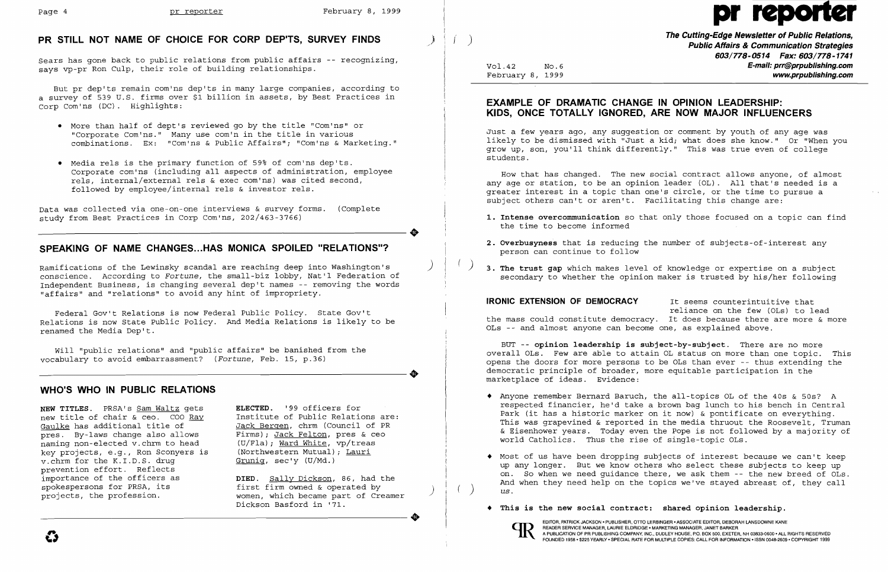## **PR STILL NOT NAME OF CHOICE FOR CORP DEP'TS, SURVEY FINDS** )

Sears has gone back to public relations from public affairs  $-$ - recognizing, says vp-pr Ron Culp, their role of building relationships.

But pr dep'ts remain com'ns dep'ts in many large companies, according to a survey of 539 U.S. firms over \$1 billion in assets, by Best Practices in Corp Com'ns (DC). Highlights:

Data was collected via one-on-one interviews & survey forms. (Complete study from Best Practices in Corp Com'ns, 202/463-3766) study from Best Practices in Corp Com'ns, 202/463-3766)

- • More than half of dept's reviewed go by the title "Com'ns" or "Corporate Com'ns." Many use com'n in the title in various combinations. Ex: "Com'ns & Public Affairs"; "Com'ns & Marketing."
- • Media rels is the primary function of 59% of com'ns dep'ts. Corporate com'ns (including all aspects of administration, employee rels, internal/external rels & exec com'ns) was cited second, followed by employee/internal rels & investor rels.

## **SPEAKING OF NAME CHANGES... HAS MONICA SPOILED "RELATIONS"?**

**DIED.** Sally Dickson, 86, had the first firm owned & operated by ) women, which became part of Creamer Dickson Basford in '71. projects, the profession. Women, which became part of Creamer<br>Dickson Basford in '71.

Ramifications of the Lewinsky scandal are reaching deep into Washington's ) conscience. According to *Fortune,* the small-biz lobby, Nat'l Federation of Independent Business, is changing several dep't names -- removing the words "affairs" and "relations" to avoid any hint of impropriety.

**The Cutting-Edge Newsletter of Public Relations,<br>Public Affairs & Communication Strategies 603/778-0514 Fax: 603/778-1741**  Vol.42 No.6 **E-mail: prr@prpublishing.com**  February 8, 1999 **www.prpublishing.com** 

Federal Gov't Relations is now Federal Public Policy. State Gov't Relations is now State Public Policy. And Media Relations is likely to be renamed the Media Dep't.

How that has changed. The new social contract allows anyone, of almost any age or station, to be an opinion leader (OL). All that's needed is a greater interest in a topic than one's circle, or the time to pursue a subject others can't or aren't. Facilitating this change are:

Will "public relations" and "public affairs" be banished from the -----------------------+ vocabulary to avoid embarrassment? *(Fortune,* Feb. 15, p.36)

## **WHO'S WHO IN PUBLIC RELATIONS**

- 1. Intense overcommunication so that only those focused on a topic can find the time to become informed
- **2. Overbusyness** that is reducing the number of subjects-of-interest any person can continue to follow
- ( ) **3. The trust gap** which makes level of knowledge or expertise on a subject

**IRONIC EXTENSION OF DEMOCRACY** It seems counterintuitive that reliance on the few (OLs) to lead the mass could constitute democracy. It does because there are more & more OLs -- and almost anyone can become one, as explained above.

**NEW TITLES.** PRSA's Sam Waltz gets new title of chair & ceo. COO Ray Gaulke has additional title of pres. By-laws change also allows naming non-elected v.chrm to head key projects, e.g., Ron Sconyers is v.chrm for the K.I.D.S. drug prevention effort. Reflects importance of the officers as spokespersons for PRSA, its projects, the profession.

**ELECTED.** '99 officers for Institute of Public Relations are: Jack Bergen, chrm (Council of PR Firms); Jack Felton, pres & ceo (U/Fla); Ward White, vp/treas (Northwestern Mutual); Lauri Grunig, sec'y (U/Md.)

# Page 4 **pr reporter** February 8, 1999 pr reporter February 8, 1999

## **EXAMPLE OF DRAMATIC CHANGE IN OPINION LEADERSHIP: KIDS, ONCE TOTALLY IGNORED, ARE NOW MAJOR INFLUENCERS**

Just a few years ago, any suggestion or comment by youth of any age was likely to be dismissed with "Just a kid; what does she know." Or "When you grow up, son, you'll think differently." This was true even of college students .

secondary to whether the opinion maker is trusted by his/her following

BUT -- **opinion leadership is subject-by-subject.** There are no more overall OLs. Few are able to attain OL status on more than one topic. This opens the doors for more persons to be OLs than ever -- thus extending the democratic principle of broader, more equitable participation in the marketplace of ideas. Evidence:

respected financier, he'd take a brown bag lunch to his bench in Central Park (it has a historic marker on it now) & pontificate on everything. This was grapevined & reported in the media thruout the Roosevelt, Truman & Eisenhower years. Today even the Pope is not followed by a majority of

- • Anyone remember Bernard Baruch, the all-topics OL of the 40s & 50s? A world Catholics. Thus the rise of single-topic OLs.
- • Most of us have been dropping subjects of interest because we can't keep And when they need help on the topics we've stayed abreast of, they call us.
- **• This is the new social contract: shared opinion leadership.**

up any longer. But we know others who select these subjects to keep up on. So when we need guidance there, we ask them -- the new breed of OLs.



EDITOR, PATRICK JACKSON· PUBLISHER, OTTO LERBINGER • ASSOCIATE EDITOR, DEBORAH LANSDOWNE KANE READER SERVICE MANAGER, LAURIE ELDRIDGE· MARKETING MANAGER, JANET BARKER A PUBLICATION OF PR PUBLISHING COMPANY, INC., DUDLEY HOUSE, P,O.BOX 500, EXETER, NH 03833·0600 • ALL RIGHTS RESERVED FOUNDED 1958· \$225 YEARLY· SPECIAL RATE FOR MULTIPLE COPIES: CALL FOR INFORMATION ·ISSN 0048-2609· COPYRIGHT 1999